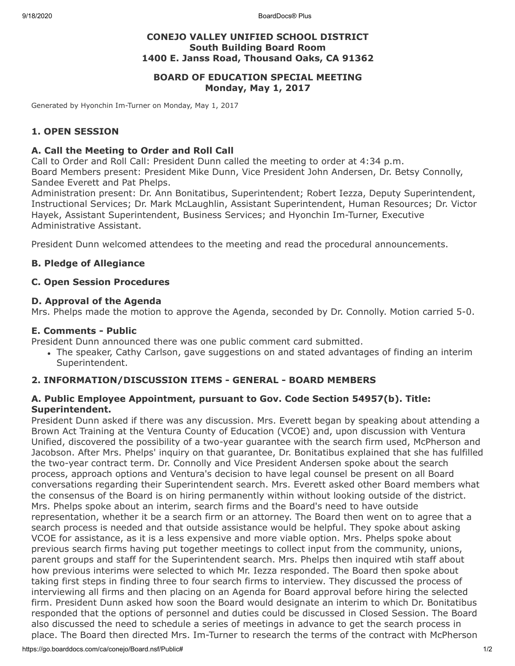9/18/2020 BoardDocs® Plus

# **CONEJO VALLEY UNIFIED SCHOOL DISTRICT South Building Board Room 1400 E. Janss Road, Thousand Oaks, CA 91362**

# **BOARD OF EDUCATION SPECIAL MEETING Monday, May 1, 2017**

Generated by Hyonchin Im-Turner on Monday, May 1, 2017

# **1. OPEN SESSION**

## **A. Call the Meeting to Order and Roll Call**

Call to Order and Roll Call: President Dunn called the meeting to order at 4:34 p.m. Board Members present: President Mike Dunn, Vice President John Andersen, Dr. Betsy Connolly, Sandee Everett and Pat Phelps.

Administration present: Dr. Ann Bonitatibus, Superintendent; Robert Iezza, Deputy Superintendent, Instructional Services; Dr. Mark McLaughlin, Assistant Superintendent, Human Resources; Dr. Victor Hayek, Assistant Superintendent, Business Services; and Hyonchin Im-Turner, Executive Administrative Assistant.

President Dunn welcomed attendees to the meeting and read the procedural announcements.

## **B. Pledge of Allegiance**

### **C. Open Session Procedures**

#### **D. Approval of the Agenda**

Mrs. Phelps made the motion to approve the Agenda, seconded by Dr. Connolly. Motion carried 5-0.

### **E. Comments - Public**

President Dunn announced there was one public comment card submitted.

The speaker, Cathy Carlson, gave suggestions on and stated advantages of finding an interim Superintendent.

## **2. INFORMATION/DISCUSSION ITEMS - GENERAL - BOARD MEMBERS**

## **A. Public Employee Appointment, pursuant to Gov. Code Section 54957(b). Title: Superintendent.**

President Dunn asked if there was any discussion. Mrs. Everett began by speaking about attending a Brown Act Training at the Ventura County of Education (VCOE) and, upon discussion with Ventura Unified, discovered the possibility of a two-year guarantee with the search firm used, McPherson and Jacobson. After Mrs. Phelps' inquiry on that guarantee, Dr. Bonitatibus explained that she has fulfilled the two-year contract term. Dr. Connolly and Vice President Andersen spoke about the search process, approach options and Ventura's decision to have legal counsel be present on all Board conversations regarding their Superintendent search. Mrs. Everett asked other Board members what the consensus of the Board is on hiring permanently within without looking outside of the district. Mrs. Phelps spoke about an interim, search firms and the Board's need to have outside representation, whether it be a search firm or an attorney. The Board then went on to agree that a search process is needed and that outside assistance would be helpful. They spoke about asking VCOE for assistance, as it is a less expensive and more viable option. Mrs. Phelps spoke about previous search firms having put together meetings to collect input from the community, unions, parent groups and staff for the Superintendent search. Mrs. Phelps then inquired wtih staff about how previous interims were selected to which Mr. Iezza responded. The Board then spoke about taking first steps in finding three to four search firms to interview. They discussed the process of interviewing all firms and then placing on an Agenda for Board approval before hiring the selected firm. President Dunn asked how soon the Board would designate an interim to which Dr. Bonitatibus responded that the options of personnel and duties could be discussed in Closed Session. The Board also discussed the need to schedule a series of meetings in advance to get the search process in place. The Board then directed Mrs. Im-Turner to research the terms of the contract with McPherson